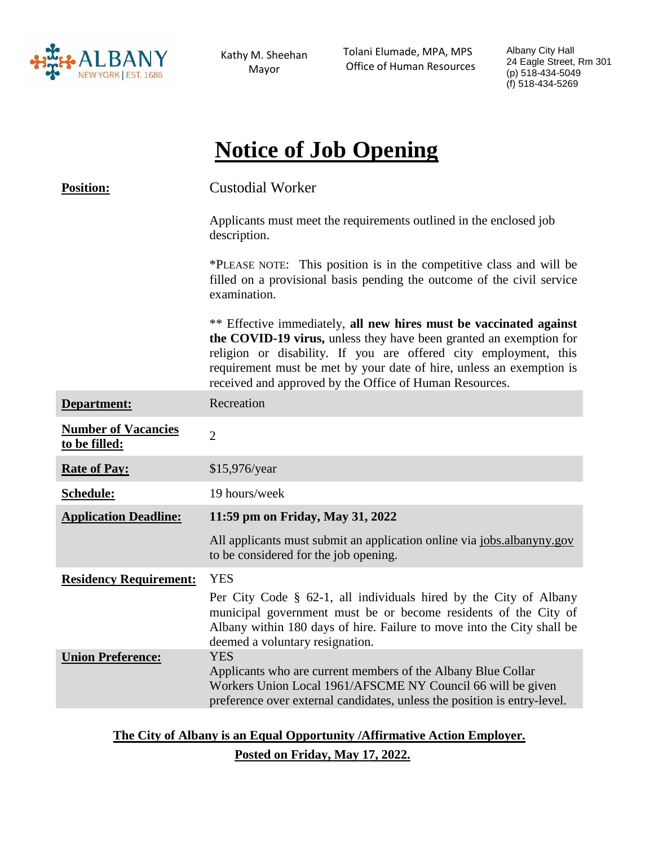

Kathy M. Sheehan Mayor

 Tolani Elumade, MPA, MPS Office of Human Resources

Albany City Hall 24 Eagle Street, Rm 301 (p) 518-434-5049 (f) 518-434-5269

# **Notice of Job Opening**

| <b>Position:</b>                            | <b>Custodial Worker</b>                                                                                                                                                                                                                                                                                                                         |
|---------------------------------------------|-------------------------------------------------------------------------------------------------------------------------------------------------------------------------------------------------------------------------------------------------------------------------------------------------------------------------------------------------|
|                                             | Applicants must meet the requirements outlined in the enclosed job<br>description.                                                                                                                                                                                                                                                              |
|                                             | *PLEASE NOTE: This position is in the competitive class and will be<br>filled on a provisional basis pending the outcome of the civil service<br>examination.                                                                                                                                                                                   |
|                                             | ** Effective immediately, all new hires must be vaccinated against<br>the COVID-19 virus, unless they have been granted an exemption for<br>religion or disability. If you are offered city employment, this<br>requirement must be met by your date of hire, unless an exemption is<br>received and approved by the Office of Human Resources. |
| Department:                                 | Recreation                                                                                                                                                                                                                                                                                                                                      |
| <b>Number of Vacancies</b><br>to be filled: | $\overline{2}$                                                                                                                                                                                                                                                                                                                                  |
| <b>Rate of Pay:</b>                         | \$15,976/year                                                                                                                                                                                                                                                                                                                                   |
| Schedule:                                   | 19 hours/week                                                                                                                                                                                                                                                                                                                                   |
| <b>Application Deadline:</b>                | 11:59 pm on Friday, May 31, 2022                                                                                                                                                                                                                                                                                                                |
|                                             | All applicants must submit an application online via jobs.albanyny.gov<br>to be considered for the job opening.                                                                                                                                                                                                                                 |
| <b>Residency Requirement:</b>               | <b>YES</b>                                                                                                                                                                                                                                                                                                                                      |
|                                             | Per City Code § 62-1, all individuals hired by the City of Albany<br>municipal government must be or become residents of the City of<br>Albany within 180 days of hire. Failure to move into the City shall be<br>deemed a voluntary resignation.                                                                                               |
| <b>Union Preference:</b>                    | <b>YES</b><br>Applicants who are current members of the Albany Blue Collar<br>Workers Union Local 1961/AFSCME NY Council 66 will be given<br>preference over external candidates, unless the position is entry-level.                                                                                                                           |

**The City of Albany is an Equal Opportunity /Affirmative Action Employer. Posted on Friday, May 17, 2022.**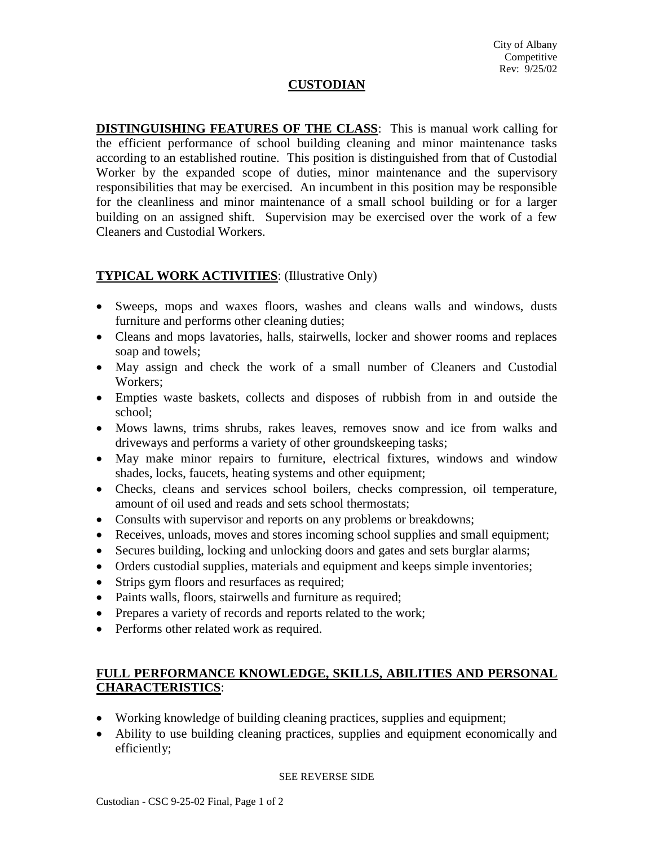# **CUSTODIAN**

**DISTINGUISHING FEATURES OF THE CLASS**: This is manual work calling for the efficient performance of school building cleaning and minor maintenance tasks according to an established routine. This position is distinguished from that of Custodial Worker by the expanded scope of duties, minor maintenance and the supervisory responsibilities that may be exercised. An incumbent in this position may be responsible for the cleanliness and minor maintenance of a small school building or for a larger building on an assigned shift. Supervision may be exercised over the work of a few Cleaners and Custodial Workers.

# **TYPICAL WORK ACTIVITIES**: (Illustrative Only)

- Sweeps, mops and waxes floors, washes and cleans walls and windows, dusts furniture and performs other cleaning duties;
- Cleans and mops lavatories, halls, stairwells, locker and shower rooms and replaces soap and towels;
- May assign and check the work of a small number of Cleaners and Custodial Workers;
- Empties waste baskets, collects and disposes of rubbish from in and outside the school;
- Mows lawns, trims shrubs, rakes leaves, removes snow and ice from walks and driveways and performs a variety of other groundskeeping tasks;
- May make minor repairs to furniture, electrical fixtures, windows and window shades, locks, faucets, heating systems and other equipment;
- Checks, cleans and services school boilers, checks compression, oil temperature, amount of oil used and reads and sets school thermostats;
- Consults with supervisor and reports on any problems or breakdowns;
- Receives, unloads, moves and stores incoming school supplies and small equipment;
- Secures building, locking and unlocking doors and gates and sets burglar alarms;
- Orders custodial supplies, materials and equipment and keeps simple inventories;
- Strips gym floors and resurfaces as required;
- Paints walls, floors, stairwells and furniture as required;
- Prepares a variety of records and reports related to the work;
- Performs other related work as required.

### **FULL PERFORMANCE KNOWLEDGE, SKILLS, ABILITIES AND PERSONAL CHARACTERISTICS**:

- Working knowledge of building cleaning practices, supplies and equipment;
- Ability to use building cleaning practices, supplies and equipment economically and efficiently;

#### SEE REVERSE SIDE